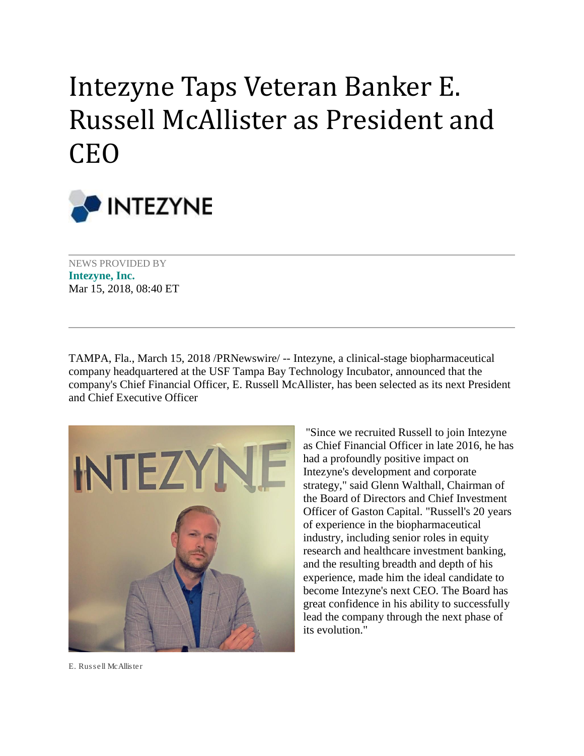## Intezyne Taps Veteran Banker E. Russell McAllister as President and CEO



NEWS PROVIDED BY **[Intezyne, Inc.](https://www.prnewswire.com/news/intezyne-inc)** Mar 15, 2018, 08:40 ET

TAMPA, Fla., March 15, 2018 /PRNewswire/ -- Intezyne, a clinical-stage biopharmaceutical company headquartered at the USF Tampa Bay Technology Incubator, announced that the company's Chief Financial Officer, E. Russell McAllister, has been selected as its next President and Chief Executive Officer



"Since we recruited Russell to join Intezyne as Chief Financial Officer in late 2016, he has had a profoundly positive impact on Intezyne's development and corporate strategy," said Glenn Walthall, Chairman of the Board of Directors and Chief Investment Officer of Gaston Capital. "Russell's 20 years of experience in the biopharmaceutical industry, including senior roles in equity research and healthcare investment banking, and the resulting breadth and depth of his experience, made him the ideal candidate to become Intezyne's next CEO. The Board has great confidence in his ability to successfully lead the company through the next phase of its evolution."

E. Russell McAllister